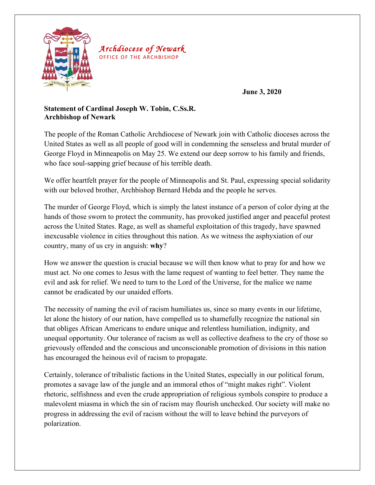

*Archdiocese of Newark* OFFICE OF THE ARCHBISHOP

**June 3, 2020**

## **Statement of Cardinal Joseph W. Tobin, C.Ss.R. Archbishop of Newark**

The people of the Roman Catholic Archdiocese of Newark join with Catholic dioceses across the United States as well as all people of good will in condemning the senseless and brutal murder of George Floyd in Minneapolis on May 25. We extend our deep sorrow to his family and friends, who face soul-sapping grief because of his terrible death.

We offer heartfelt prayer for the people of Minneapolis and St. Paul, expressing special solidarity with our beloved brother, Archbishop Bernard Hebda and the people he serves.

The murder of George Floyd, which is simply the latest instance of a person of color dying at the hands of those sworn to protect the community, has provoked justified anger and peaceful protest across the United States. Rage, as well as shameful exploitation of this tragedy, have spawned inexcusable violence in cities throughout this nation. As we witness the asphyxiation of our country, many of us cry in anguish: **why**?

How we answer the question is crucial because we will then know what to pray for and how we must act. No one comes to Jesus with the lame request of wanting to feel better. They name the evil and ask for relief. We need to turn to the Lord of the Universe, for the malice we name cannot be eradicated by our unaided efforts.

The necessity of naming the evil of racism humiliates us, since so many events in our lifetime, let alone the history of our nation, have compelled us to shamefully recognize the national sin that obliges African Americans to endure unique and relentless humiliation, indignity, and unequal opportunity. Our tolerance of racism as well as collective deafness to the cry of those so grievously offended and the conscious and unconscionable promotion of divisions in this nation has encouraged the heinous evil of racism to propagate.

Certainly, tolerance of tribalistic factions in the United States, especially in our political forum, promotes a savage law of the jungle and an immoral ethos of "might makes right". Violent rhetoric, selfishness and even the crude appropriation of religious symbols conspire to produce a malevolent miasma in which the sin of racism may flourish unchecked. Our society will make no progress in addressing the evil of racism without the will to leave behind the purveyors of polarization.